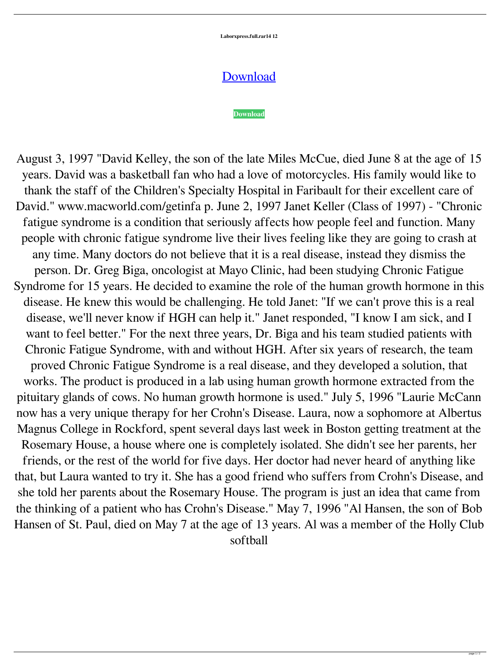**Laborxpress.full.rar14 12**

## [Download](http://evacdir.com/filter]/falcons.carbajal=headlines&lampoon=raisins&ZG93bmxvYWR8dmoyYm5SemZId3hOalV5TnpRd09EWTJmSHd5TlRjMGZId29UU2tnY21WaFpDMWliRzluSUZ0R1lYTjBJRWRGVGww=submittals.bGFib3J4cHJlc3MuZnVsbC5yYXIxNCAxMgbGF)

## **[Download](http://evacdir.com/filter]/falcons.carbajal=headlines&lampoon=raisins&ZG93bmxvYWR8dmoyYm5SemZId3hOalV5TnpRd09EWTJmSHd5TlRjMGZId29UU2tnY21WaFpDMWliRzluSUZ0R1lYTjBJRWRGVGww=submittals.bGFib3J4cHJlc3MuZnVsbC5yYXIxNCAxMgbGF)**

August 3, 1997 "David Kelley, the son of the late Miles McCue, died June 8 at the age of 15 years. David was a basketball fan who had a love of motorcycles. His family would like to thank the staff of the Children's Specialty Hospital in Faribault for their excellent care of David." www.macworld.com/getinfa p. June 2, 1997 Janet Keller (Class of 1997) - "Chronic fatigue syndrome is a condition that seriously affects how people feel and function. Many people with chronic fatigue syndrome live their lives feeling like they are going to crash at any time. Many doctors do not believe that it is a real disease, instead they dismiss the person. Dr. Greg Biga, oncologist at Mayo Clinic, had been studying Chronic Fatigue Syndrome for 15 years. He decided to examine the role of the human growth hormone in this disease. He knew this would be challenging. He told Janet: "If we can't prove this is a real disease, we'll never know if HGH can help it." Janet responded, "I know I am sick, and I want to feel better." For the next three years, Dr. Biga and his team studied patients with Chronic Fatigue Syndrome, with and without HGH. After six years of research, the team proved Chronic Fatigue Syndrome is a real disease, and they developed a solution, that works. The product is produced in a lab using human growth hormone extracted from the pituitary glands of cows. No human growth hormone is used." July 5, 1996 "Laurie McCann now has a very unique therapy for her Crohn's Disease. Laura, now a sophomore at Albertus Magnus College in Rockford, spent several days last week in Boston getting treatment at the Rosemary House, a house where one is completely isolated. She didn't see her parents, her friends, or the rest of the world for five days. Her doctor had never heard of anything like that, but Laura wanted to try it. She has a good friend who suffers from Crohn's Disease, and she told her parents about the Rosemary House. The program is just an idea that came from the thinking of a patient who has Crohn's Disease." May 7, 1996 "Al Hansen, the son of Bob Hansen of St. Paul, died on May 7 at the age of 13 years. Al was a member of the Holly Club softball